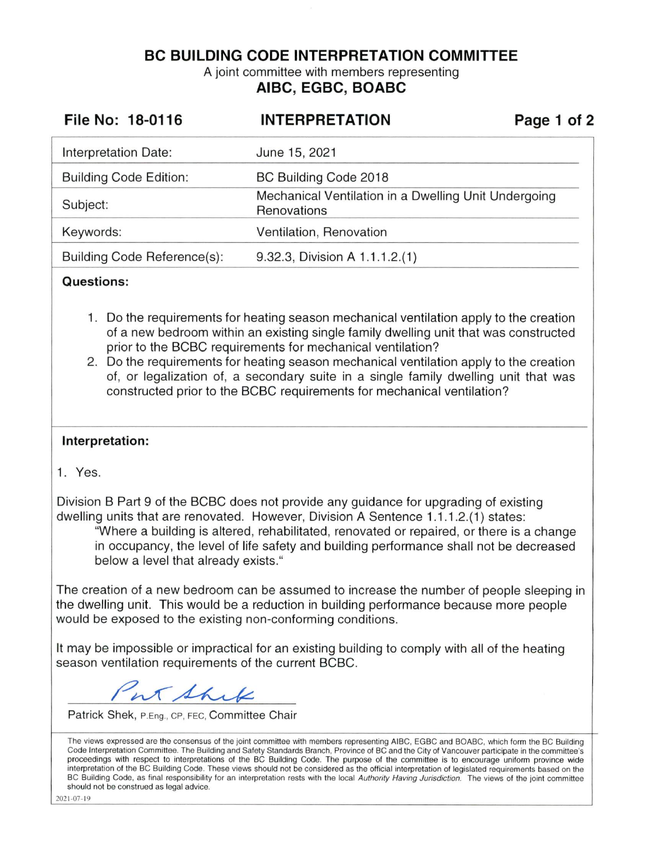**BC BUILDING CODE INTERPRETATION COMMITTEE** 

A joint committee with members representing **AIBC, EGBC, BOABC** 

| File No: 18-0116              | <b>INTERPRETATION</b>                                               | Page 1 of 2 |
|-------------------------------|---------------------------------------------------------------------|-------------|
| Interpretation Date:          | June 15, 2021                                                       |             |
| <b>Building Code Edition:</b> | BC Building Code 2018                                               |             |
| Subject:                      | Mechanical Ventilation in a Dwelling Unit Undergoing<br>Renovations |             |
| Keywords:                     | Ventilation, Renovation                                             |             |
| Building Code Reference(s):   | 9.32.3, Division A 1.1.1.2.(1)                                      |             |
| <b>Questions:</b>             |                                                                     |             |

- 1. Do the requirements for heating season mechanical ventilation apply to the creation of a new bedroom within an existing single family dwelling unit that was constructed prior to the BCBC requirements for mechanical ventilation?
- 2. Do the requirements for heating season mechanical ventilation apply to the creation of, or legalization of, a secondary suite in a single family dwelling unit that was constructed prior to the BCBC requirements for mechanical ventilation?

## **Interpretation:**

1. Yes.

Division B Part 9 of the BCBC does not provide any guidance for upgrading of existing dwelling units that are renovated. However, Division A Sentence 1.1.1.2.(1) states:

"Where a building is altered, rehabilitated, renovated or repaired, or there is a change in occupancy, the level of life safety and building performance shall not be decreased below a level that already exists."

The creation of a new bedroom can be assumed to increase the number of people sleeping in the dwelling unit. This would be a reduction in building performance because more people would be exposed to the existing non-conforming conditions.

It may be impossible or impractical for an existing building to comply with all of the heating season ventilation requirements of the current BCBC.

at Shik

Patrick Shek, P.Eng., CP, FEC, Committee Chair

The views expressed are the consensus of the joint committee with members representing AIBC, EGBC and BOABC, which form the BC Building Code Interpretation Committee. The Building and Safety Standards Branch, Province of BC and the City of Vancouver participate in the committee's proceedings with respect to interpretations of the BC Building Code. The purpose of the committee is to encourage uniform province wide interpretation of the BC Building Code. These views should not be considered as the official interpretation of legislated requirements based on the BC Building Code, as final responsibility for an interpretation rests with the local Authority Having Jurisdiction. The views of the joint committee should not be construed as legal advice.